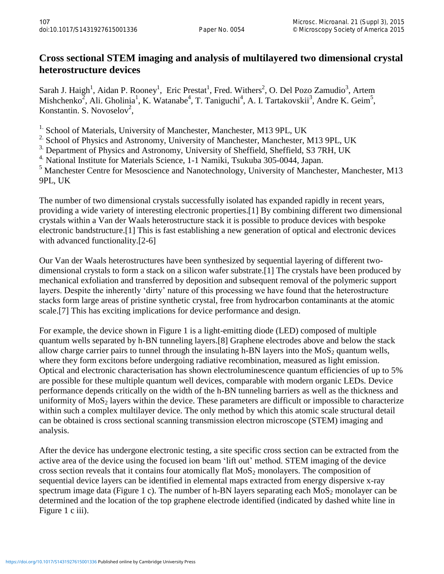## **Cross sectional STEM imaging and analysis of multilayered two dimensional crystal heterostructure devices**

Sarah J. Haigh<sup>1</sup>, Aidan P. Rooney<sup>1</sup>, Eric Prestat<sup>1</sup>, Fred. Withers<sup>2</sup>, O. Del Pozo Zamudio<sup>3</sup>, Artem Mishchenko<sup>2</sup>, Ali. Gholinia<sup>1</sup>, K. Watanabe<sup>4</sup>, T. Taniguchi<sup>4</sup>, A. I. Tartakovskii<sup>3</sup>, Andre K. Geim<sup>5</sup>, Konstantin. S. Novoselov<sup>2</sup>,

<sup>1.</sup> School of Materials, University of Manchester, Manchester, M13 9PL, UK

<sup>2.</sup> School of Physics and Astronomy, University of Manchester, Manchester, M13 9PL, UK

<sup>3.</sup> Department of Physics and Astronomy, University of Sheffield, Sheffield, S3 7RH, UK

<sup>4</sup>. National Institute for Materials Science, 1-1 Namiki, Tsukuba 305-0044, Japan.

<sup>5</sup> Manchester Centre for Mesoscience and Nanotechnology, University of Manchester, Manchester, M13 9PL, UK

The number of two dimensional crystals successfully isolated has expanded rapidly in recent years, providing a wide variety of interesting electronic properties.[1] By combining different two dimensional crystals within a Van der Waals heterostructure stack it is possible to produce devices with bespoke electronic bandstructure.[1] This is fast establishing a new generation of optical and electronic devices with advanced functionality.[2-6]

Our Van der Waals heterostructures have been synthesized by sequential layering of different twodimensional crystals to form a stack on a silicon wafer substrate.[1] The crystals have been produced by mechanical exfoliation and transferred by deposition and subsequent removal of the polymeric support layers. Despite the inherently 'dirty' nature of this processing we have found that the heterostructure stacks form large areas of pristine synthetic crystal, free from hydrocarbon contaminants at the atomic scale.[7] This has exciting implications for device performance and design.

For example, the device shown in Figure 1 is a light-emitting diode (LED) composed of multiple quantum wells separated by h-BN tunneling layers.[8] Graphene electrodes above and below the stack allow charge carrier pairs to tunnel through the insulating h-BN layers into the  $MoS<sub>2</sub>$  quantum wells, where they form excitons before undergoing radiative recombination, measured as light emission. Optical and electronic characterisation has shown electroluminescence quantum efficiencies of up to 5% are possible for these multiple quantum well devices, comparable with modern organic LEDs. Device performance depends critically on the width of the h-BN tunneling barriers as well as the thickness and uniformity of  $MoS<sub>2</sub>$  layers within the device. These parameters are difficult or impossible to characterize within such a complex multilayer device. The only method by which this atomic scale structural detail can be obtained is cross sectional scanning transmission electron microscope (STEM) imaging and analysis.

After the device has undergone electronic testing, a site specific cross section can be extracted from the active area of the device using the focused ion beam 'lift out' method. STEM imaging of the device cross section reveals that it contains four atomically flat  $MoS<sub>2</sub>$  monolayers. The composition of sequential device layers can be identified in elemental maps extracted from energy dispersive x-ray spectrum image data (Figure 1 c). The number of h-BN layers separating each  $M_0S_2$  monolayer can be determined and the location of the top graphene electrode identified (indicated by dashed white line in Figure 1 c iii).